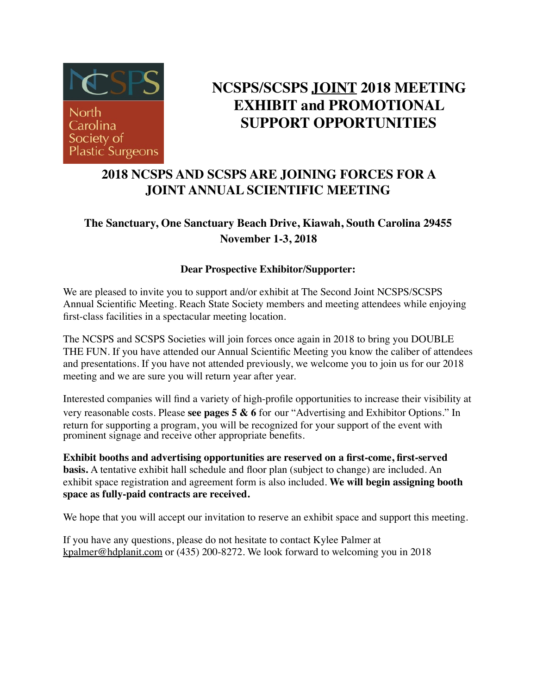

### **NCSPS/SCSPS JOINT 2018 MEETING EXHIBIT and PROMOTIONAL SUPPORT OPPORTUNITIES**

### **2018 NCSPS AND SCSPS ARE JOINING FORCES FOR A JOINT ANNUAL SCIENTIFIC MEETING**

#### **The Sanctuary, One Sanctuary Beach Drive, Kiawah, South Carolina 29455 November 1-3, 2018**

#### **Dear Prospective Exhibitor/Supporter:**

We are pleased to invite you to support and/or exhibit at The Second Joint NCSPS/SCSPS Annual Scientific Meeting. Reach State Society members and meeting attendees while enjoying first-class facilities in a spectacular meeting location.

The NCSPS and SCSPS Societies will join forces once again in 2018 to bring you DOUBLE THE FUN. If you have attended our Annual Scientific Meeting you know the caliber of attendees and presentations. If you have not attended previously, we welcome you to join us for our 2018 meeting and we are sure you will return year after year.

Interested companies will find a variety of high-profile opportunities to increase their visibility at very reasonable costs. Please **see pages 5 & 6** for our "Advertising and Exhibitor Options." In return for supporting a program, you will be recognized for your support of the event with prominent signage and receive other appropriate benefits.

**Exhibit booths and advertising opportunities are reserved on a first-come, first-served basis.** A tentative exhibit hall schedule and floor plan (subject to change) are included. An exhibit space registration and agreement form is also included. **We will begin assigning booth space as fully-paid contracts are received.** 

We hope that you will accept our invitation to reserve an exhibit space and support this meeting.

If you have any questions, please do not hesitate to contact Kylee Palmer at [kpalmer@hdplanit.com](mailto:kpalmer@hdplanit.com) or (435) 200-8272. We look forward to welcoming you in 2018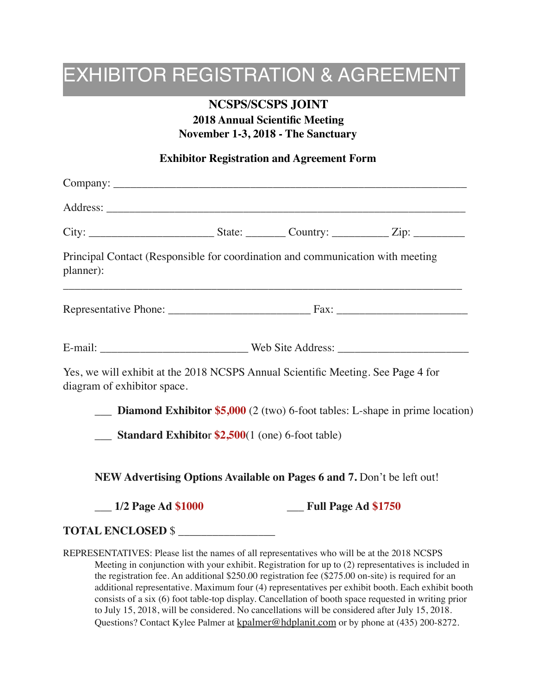## EXHIBITOR REGISTRATION & AGREEMENT

#### **NCSPS/SCSPS JOINT**

#### **2018 Annual Scientific Meeting November 1-3, 2018 - The Sanctuary**

#### **Exhibitor Registration and Agreement Form**

| Principal Contact (Responsible for coordination and communication with meeting<br>planner):                     |  |                     |                                                                                     |
|-----------------------------------------------------------------------------------------------------------------|--|---------------------|-------------------------------------------------------------------------------------|
|                                                                                                                 |  |                     |                                                                                     |
|                                                                                                                 |  |                     |                                                                                     |
| Yes, we will exhibit at the 2018 NCSPS Annual Scientific Meeting. See Page 4 for<br>diagram of exhibitor space. |  |                     |                                                                                     |
|                                                                                                                 |  |                     | <b>Diamond Exhibitor \$5,000</b> (2 (two) 6-foot tables: L-shape in prime location) |
| $\frac{1}{2}$ Standard Exhibitor \$2,500(1 (one) 6-foot table)                                                  |  |                     |                                                                                     |
| NEW Advertising Options Available on Pages 6 and 7. Don't be left out!                                          |  |                     |                                                                                     |
| $\frac{1}{2}$ Page Ad \$1000                                                                                    |  | Full Page Ad \$1750 |                                                                                     |
| <b>TOTAL ENCLOSED \$</b>                                                                                        |  |                     |                                                                                     |
| REPRESENTATIVES: Please list the names of all representatives who will be at the 2018 NCSPS                     |  |                     |                                                                                     |

Meeting in conjunction with your exhibit. Registration for up to (2) representatives is included in the registration fee. An additional \$250.00 registration fee (\$275.00 on-site) is required for an additional representative. Maximum four (4) representatives per exhibit booth. Each exhibit booth consists of a six (6) foot table-top display. Cancellation of booth space requested in writing prior to July 15, 2018, will be considered. No cancellations will be considered after July 15, 2018. Questions? Contact Kylee Palmer at [kpalmer@hdplanit.com](mailto:kpalmer@hdplanit.com) or by phone at (435) 200-8272.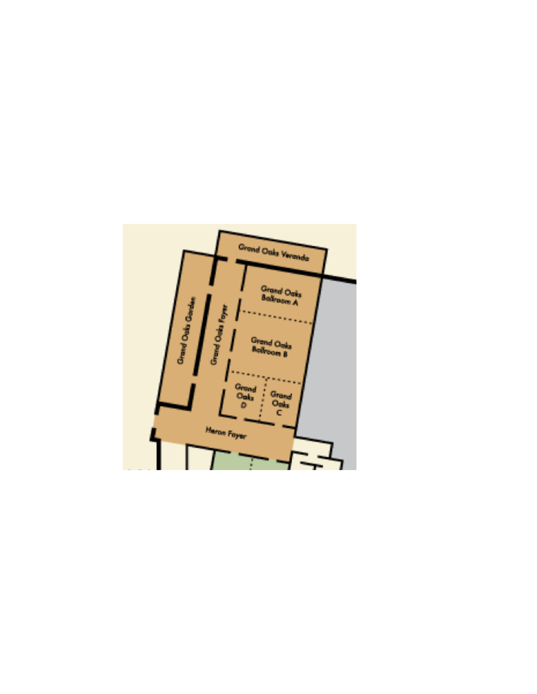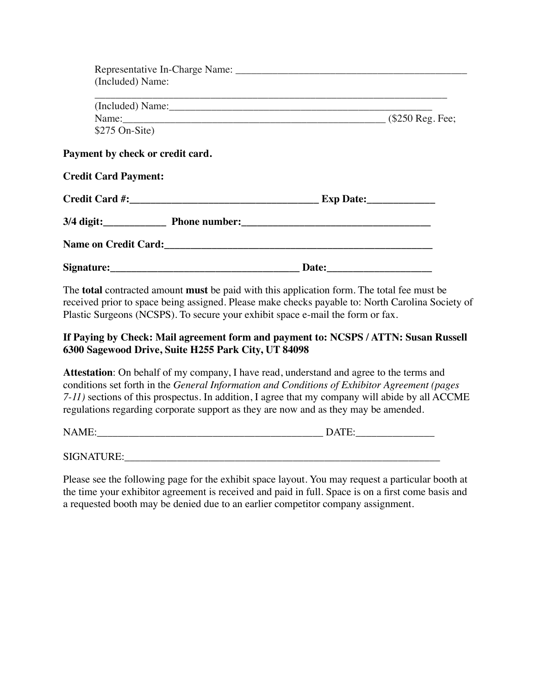| (Included) Name:                        |              |  |
|-----------------------------------------|--------------|--|
|                                         |              |  |
| Name: (\$250 Reg. Fee;                  |              |  |
| $$275$ On-Site)                         |              |  |
| Payment by check or credit card.        |              |  |
| <b>Credit Card Payment:</b>             |              |  |
|                                         |              |  |
| 3/4 digit: Phone number: 2014 1997 1998 |              |  |
|                                         |              |  |
| Signature:                              | <b>Date:</b> |  |

The **total** contracted amount **must** be paid with this application form. The total fee must be received prior to space being assigned. Please make checks payable to: North Carolina Society of Plastic Surgeons (NCSPS). To secure your exhibit space e-mail the form or fax.

#### **If Paying by Check: Mail agreement form and payment to: NCSPS / ATTN: Susan Russell 6300 Sagewood Drive, Suite H255 Park City, UT 84098**

**Attestation**: On behalf of my company, I have read, understand and agree to the terms and conditions set forth in the *General Information and Conditions of Exhibitor Agreement (pages 7-11)* sections of this prospectus. In addition, I agree that my company will abide by all ACCME regulations regarding corporate support as they are now and as they may be amended.

NAME:\_\_\_\_\_\_\_\_\_\_\_\_\_\_\_\_\_\_\_\_\_\_\_\_\_\_\_\_\_\_\_\_\_\_\_\_\_\_\_\_\_\_\_ DATE:\_\_\_\_\_\_\_\_\_\_\_\_\_\_\_

SIGNATURE:

Please see the following page for the exhibit space layout. You may request a particular booth at the time your exhibitor agreement is received and paid in full. Space is on a first come basis and a requested booth may be denied due to an earlier competitor company assignment.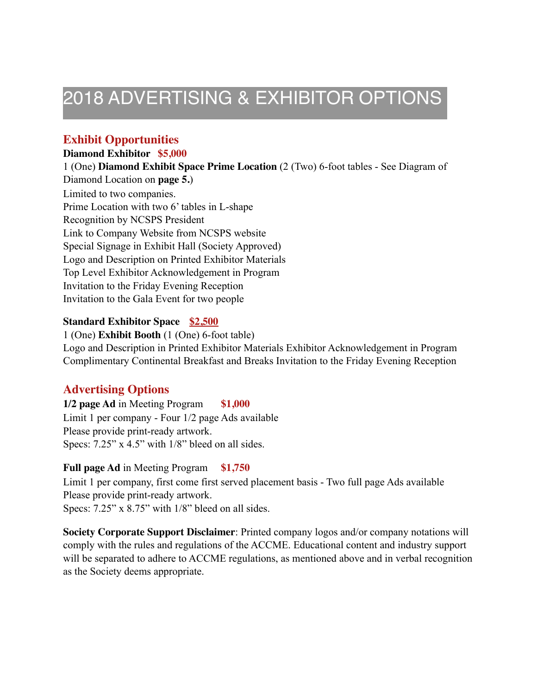## 2018 ADVERTISING & EXHIBITOR OPTIONS

#### **Exhibit Opportunities**

#### **Diamond Exhibitor \$5,000**

1 (One) **Diamond Exhibit Space Prime Location** (2 (Two) 6-foot tables - See Diagram of Diamond Location on **page 5.**) Limited to two companies. Prime Location with two 6' tables in L-shape Recognition by NCSPS President Link to Company Website from NCSPS website Special Signage in Exhibit Hall (Society Approved) Logo and Description on Printed Exhibitor Materials Top Level Exhibitor Acknowledgement in Program Invitation to the Friday Evening Reception Invitation to the Gala Event for two people

#### **Standard Exhibitor Space \$2,500**

1 (One) **Exhibit Booth** (1 (One) 6-foot table) Logo and Description in Printed Exhibitor Materials Exhibitor Acknowledgement in Program Complimentary Continental Breakfast and Breaks Invitation to the Friday Evening Reception

#### **Advertising Options**

**1/2 page Ad** in Meeting Program **\$1,000** Limit 1 per company - Four 1/2 page Ads available Please provide print-ready artwork. Specs: 7.25" x 4.5" with 1/8" bleed on all sides.

#### **Full page Ad** in Meeting Program **\$1,750**

Limit 1 per company, first come first served placement basis - Two full page Ads available Please provide print-ready artwork. Specs: 7.25" x 8.75" with 1/8" bleed on all sides.

**Society Corporate Support Disclaimer**: Printed company logos and/or company notations will comply with the rules and regulations of the ACCME. Educational content and industry support will be separated to adhere to ACCME regulations, as mentioned above and in verbal recognition as the Society deems appropriate.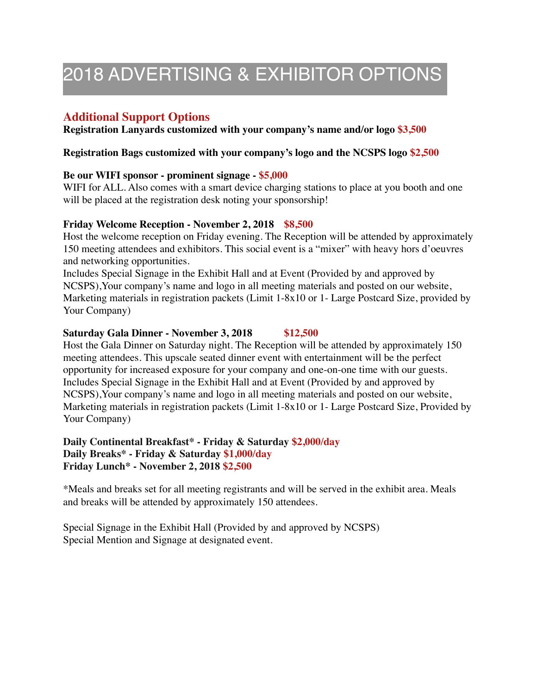## 2018 ADVERTISING & EXHIBITOR OPTIONS

#### **Additional Support Options**

**Registration Lanyards customized with your company's name and/or logo \$3,500** 

#### **Registration Bags customized with your company's logo and the NCSPS logo \$2,500**

#### **Be our WIFI sponsor - prominent signage - \$5,000**

WIFI for ALL. Also comes with a smart device charging stations to place at you booth and one will be placed at the registration desk noting your sponsorship!

#### **Friday Welcome Reception - November 2, 2018 \$8,500**

Host the welcome reception on Friday evening. The Reception will be attended by approximately 150 meeting attendees and exhibitors. This social event is a "mixer" with heavy hors d'oeuvres and networking opportunities.

Includes Special Signage in the Exhibit Hall and at Event (Provided by and approved by NCSPS),Your company's name and logo in all meeting materials and posted on our website, Marketing materials in registration packets (Limit 1-8x10 or 1- Large Postcard Size, provided by Your Company)

#### **Saturday Gala Dinner - November 3, 2018 \$12,500**

Host the Gala Dinner on Saturday night. The Reception will be attended by approximately 150 meeting attendees. This upscale seated dinner event with entertainment will be the perfect opportunity for increased exposure for your company and one-on-one time with our guests. Includes Special Signage in the Exhibit Hall and at Event (Provided by and approved by NCSPS),Your company's name and logo in all meeting materials and posted on our website, Marketing materials in registration packets (Limit 1-8x10 or 1- Large Postcard Size, Provided by Your Company)

**Daily Continental Breakfast\* - Friday & Saturday \$2,000/day Daily Breaks\* - Friday & Saturday \$1,000/day Friday Lunch\* - November 2, 2018 \$2,500** 

\*Meals and breaks set for all meeting registrants and will be served in the exhibit area. Meals and breaks will be attended by approximately 150 attendees.

Special Signage in the Exhibit Hall (Provided by and approved by NCSPS) Special Mention and Signage at designated event.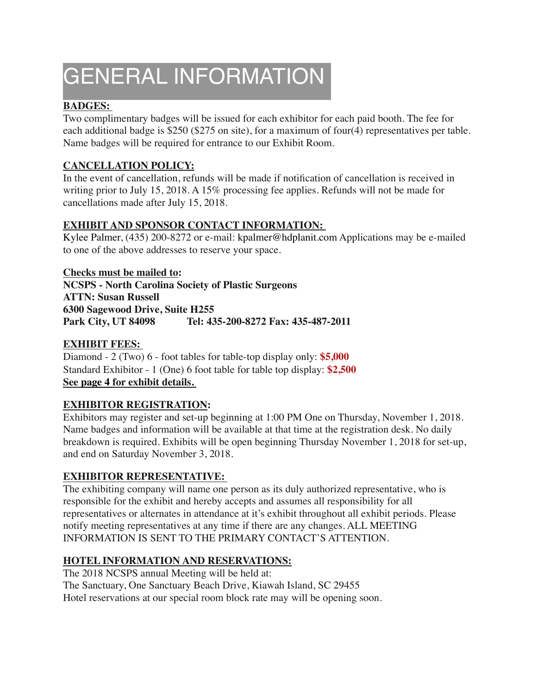# GENERAL INFORMATION

#### **BADGES:**

Two complimentary badges will be issued for each exhibitor for each paid booth. The fee for each additional badge is \$250 (\$275 on site), for a maximum of four(4) representatives per table. Name badges will be required for entrance to our Exhibit Room.

#### **CANCELLATION POLICY:**

In the event of cancellation, refunds will be made if notification of cancellation is received in writing prior to July 15, 2018. A 15% processing fee applies. Refunds will not be made for cancellations made after July 15, 2018.

#### **EXHIBIT AND SPONSOR CONTACT INFORMATION:**

Kylee Palmer, (435) 200-8272 or e-mail: kpalmer@hdplanit.com Applications may be e-mailed to one of the above addresses to reserve your space.

**Checks must be mailed to: NCSPS - North Carolina Society of Plastic Surgeons ATTN: Susan Russell 6300 Sagewood Drive, Suite H255 Park City, UT 84098 Tel: 435-200-8272 Fax: 435-487-2011** 

#### **EXHIBIT FEES:**

Diamond - 2 (Two) 6 - foot tables for table-top display only: **\$5,000**  Standard Exhibitor - 1 (One) 6 foot table for table top display: **\$2,500 See page 4 for exhibit details.** 

#### **EXHIBITOR REGISTRATION:**

Exhibitors may register and set-up beginning at 1:00 PM One on Thursday, November 1, 2018. Name badges and information will be available at that time at the registration desk. No daily breakdown is required. Exhibits will be open beginning Thursday November 1, 2018 for set-up, and end on Saturday November 3, 2018.

#### **EXHIBITOR REPRESENTATIVE:**

The exhibiting company will name one person as its duly authorized representative, who is responsible for the exhibit and hereby accepts and assumes all responsibility for all representatives or alternates in attendance at it's exhibit throughout all exhibit periods. Please notify meeting representatives at any time if there are any changes. ALL MEETING INFORMATION IS SENT TO THE PRIMARY CONTACT'S ATTENTION.

#### **HOTEL INFORMATION AND RESERVATIONS:**

The 2018 NCSPS annual Meeting will be held at: The Sanctuary, One Sanctuary Beach Drive, Kiawah Island, SC 29455 Hotel reservations at our special room block rate may will be opening soon.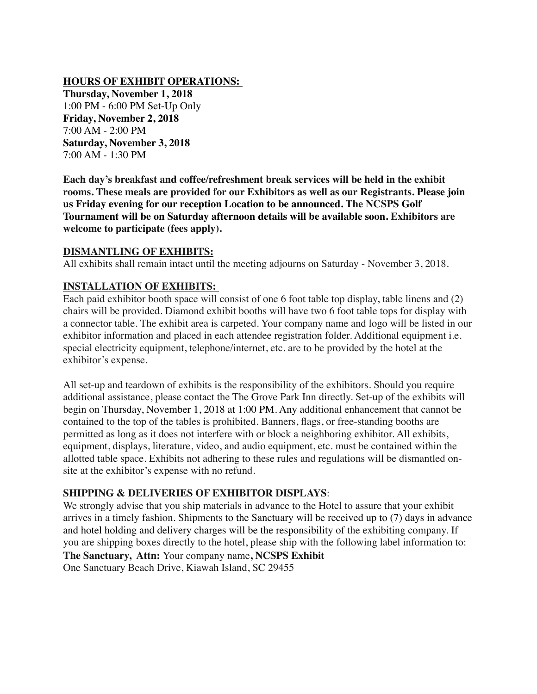#### **HOURS OF EXHIBIT OPERATIONS:**

**Thursday, November 1, 2018**  1:00 PM - 6:00 PM Set-Up Only **Friday, November 2, 2018** 7:00 AM - 2:00 PM **Saturday, November 3, 2018**  7:00 AM - 1:30 PM

**Each day's breakfast and coffee/refreshment break services will be held in the exhibit rooms. These meals are provided for our Exhibitors as well as our Registrants. Please join us Friday evening for our reception Location to be announced. The NCSPS Golf Tournament will be on Saturday afternoon details will be available soon. Exhibitors are welcome to participate (fees apply).** 

#### **DISMANTLING OF EXHIBITS:**

All exhibits shall remain intact until the meeting adjourns on Saturday - November 3, 2018.

#### **INSTALLATION OF EXHIBITS:**

Each paid exhibitor booth space will consist of one 6 foot table top display, table linens and (2) chairs will be provided. Diamond exhibit booths will have two 6 foot table tops for display with a connector table. The exhibit area is carpeted. Your company name and logo will be listed in our exhibitor information and placed in each attendee registration folder. Additional equipment i.e. special electricity equipment, telephone/internet, etc. are to be provided by the hotel at the exhibitor's expense.

All set-up and teardown of exhibits is the responsibility of the exhibitors. Should you require additional assistance, please contact the The Grove Park Inn directly. Set-up of the exhibits will begin on Thursday, November 1, 2018 at 1:00 PM. Any additional enhancement that cannot be contained to the top of the tables is prohibited. Banners, flags, or free-standing booths are permitted as long as it does not interfere with or block a neighboring exhibitor. All exhibits, equipment, displays, literature, video, and audio equipment, etc. must be contained within the allotted table space. Exhibits not adhering to these rules and regulations will be dismantled onsite at the exhibitor's expense with no refund.

#### **SHIPPING & DELIVERIES OF EXHIBITOR DISPLAYS**:

We strongly advise that you ship materials in advance to the Hotel to assure that your exhibit arrives in a timely fashion. Shipments to the Sanctuary will be received up to (7) days in advance and hotel holding and delivery charges will be the responsibility of the exhibiting company. If you are shipping boxes directly to the hotel, please ship with the following label information to: **The Sanctuary, Attn:** Your company name**, NCSPS Exhibit** One Sanctuary Beach Drive, Kiawah Island, SC 29455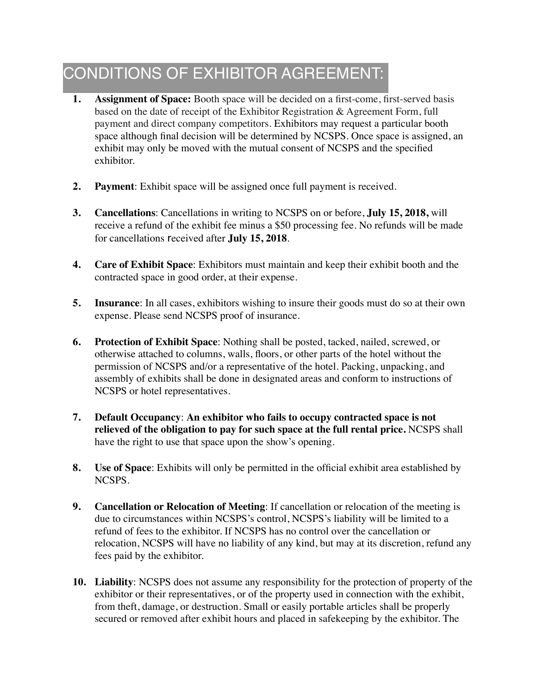### CONDITIONS OF EXHIBITOR AGREEMENT:

- **1. Assignment of Space:** Booth space will be decided on a first-come, first-served basis based on the date of receipt of the Exhibitor Registration & Agreement Form, full payment and direct company competitors. Exhibitors may request a particular booth space although final decision will be determined by NCSPS. Once space is assigned, an exhibit may only be moved with the mutual consent of NCSPS and the specified exhibitor.
- **2. Payment**: Exhibit space will be assigned once full payment is received.
- **3. Cancellations**: Cancellations in writing to NCSPS on or before, **July 15, 2018,** will receive a refund of the exhibit fee minus a \$50 processing fee. No refunds will be made for cancellations received after **July 15, 2018**.
- **4. Care of Exhibit Space**: Exhibitors must maintain and keep their exhibit booth and the contracted space in good order, at their expense.
- **5.** Insurance: In all cases, exhibitors wishing to insure their goods must do so at their own expense. Please send NCSPS proof of insurance.
- **6. Protection of Exhibit Space**: Nothing shall be posted, tacked, nailed, screwed, or otherwise attached to columns, walls, floors, or other parts of the hotel without the permission of NCSPS and/or a representative of the hotel. Packing, unpacking, and assembly of exhibits shall be done in designated areas and conform to instructions of NCSPS or hotel representatives.
- **7. Default Occupancy**: **An exhibitor who fails to occupy contracted space is not relieved of the obligation to pay for such space at the full rental price.** NCSPS shall have the right to use that space upon the show's opening.
- **8. Use of Space**: Exhibits will only be permitted in the official exhibit area established by NCSPS.
- **9. Cancellation or Relocation of Meeting**: If cancellation or relocation of the meeting is due to circumstances within NCSPS's control, NCSPS's liability will be limited to a refund of fees to the exhibitor. If NCSPS has no control over the cancellation or relocation, NCSPS will have no liability of any kind, but may at its discretion, refund any fees paid by the exhibitor.
- **10. Liability**: NCSPS does not assume any responsibility for the protection of property of the exhibitor or their representatives, or of the property used in connection with the exhibit, from theft, damage, or destruction. Small or easily portable articles shall be properly secured or removed after exhibit hours and placed in safekeeping by the exhibitor. The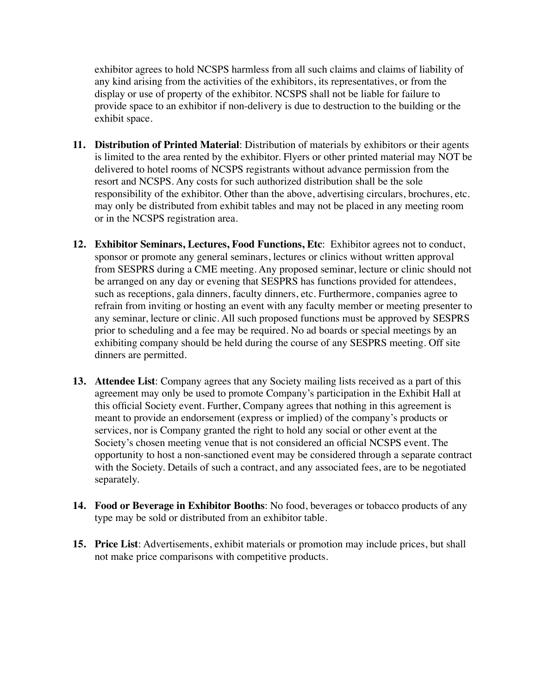exhibitor agrees to hold NCSPS harmless from all such claims and claims of liability of any kind arising from the activities of the exhibitors, its representatives, or from the display or use of property of the exhibitor. NCSPS shall not be liable for failure to provide space to an exhibitor if non-delivery is due to destruction to the building or the exhibit space.

- **11. Distribution of Printed Material**: Distribution of materials by exhibitors or their agents is limited to the area rented by the exhibitor. Flyers or other printed material may NOT be delivered to hotel rooms of NCSPS registrants without advance permission from the resort and NCSPS. Any costs for such authorized distribution shall be the sole responsibility of the exhibitor. Other than the above, advertising circulars, brochures, etc. may only be distributed from exhibit tables and may not be placed in any meeting room or in the NCSPS registration area.
- **12. Exhibitor Seminars, Lectures, Food Functions, Etc**: Exhibitor agrees not to conduct, sponsor or promote any general seminars, lectures or clinics without written approval from SESPRS during a CME meeting. Any proposed seminar, lecture or clinic should not be arranged on any day or evening that SESPRS has functions provided for attendees, such as receptions, gala dinners, faculty dinners, etc. Furthermore, companies agree to refrain from inviting or hosting an event with any faculty member or meeting presenter to any seminar, lecture or clinic. All such proposed functions must be approved by SESPRS prior to scheduling and a fee may be required. No ad boards or special meetings by an exhibiting company should be held during the course of any SESPRS meeting. Off site dinners are permitted.
- **13. Attendee List**: Company agrees that any Society mailing lists received as a part of this agreement may only be used to promote Company's participation in the Exhibit Hall at this official Society event. Further, Company agrees that nothing in this agreement is meant to provide an endorsement (express or implied) of the company's products or services, nor is Company granted the right to hold any social or other event at the Society's chosen meeting venue that is not considered an official NCSPS event. The opportunity to host a non-sanctioned event may be considered through a separate contract with the Society. Details of such a contract, and any associated fees, are to be negotiated separately.
- **14. Food or Beverage in Exhibitor Booths**: No food, beverages or tobacco products of any type may be sold or distributed from an exhibitor table.
- **15. Price List**: Advertisements, exhibit materials or promotion may include prices, but shall not make price comparisons with competitive products.